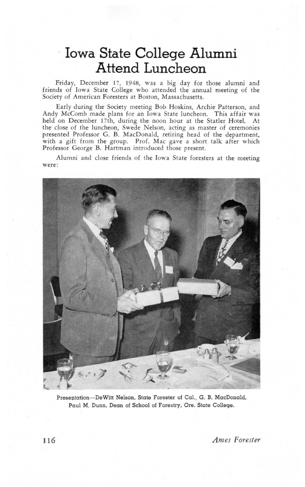## Iowa State College Alumni Attend Luncheon

Friday, December 17, 1948, was a big day for those alumni and friends of Iowa State College who attended the annual meeting of the Society of American Foresters at Boston, Massachusetts.

Early during the Society meeting Bob Hoskins, Archie Patterson, and Andy McComb made plans for an Iowa State luncheon. This affair was held on December 17th, during the noon hour at the Statler Hotel. At the close of the luncheon, Swede Nelson, acting as master of ceremonies presented Professor G. B. MacDonald, retiring head of the department, with a gift from the group. Prof. Mac gave a short talk after which Professor George B. Hartman introduced those present.

Alumni and close friends of the Iowa State foresters at the meeting Were:



Presentation-DeWitt Nelson, State Forester of Cal., G. B. MacDonald, Paul M. Dunn, Dean of School of Forestry, Ore. State College.

Ames Forester